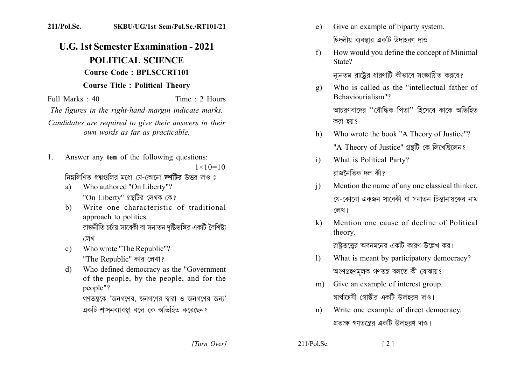## 211/Pol.Sc. SKBU/UG/1st Sem/Pol.Sc./RT101/21

## **U.G. 1st Semester Examination - 2021** POLITICAL SCIENCE **Course Code: BPLSCCRT101 Course Title: Political Theory**

Full Marks  $\cdot$  40 Time  $\cdot$  2 Hours

The figures in the right-hand margin indicate marks.

Candidates are required to give their answers in their own words as far as practicable.

Answer any ten of the following questions:  $1$  $1 \times 10 = 10$ 

নিম্নলিখিত প্রশ্নগুলির মধ্যে যে-কোনো দশটির উত্তর দাও ঃ

- a) Who authored "On Liberty"? "On Liberty" গ্রন্থটির লেখক কে?
- Write one characteristic of traditional  $h)$ approach to politics. রাজনীতি চর্চায় সাবেকী বা সনাতন দষ্টিভঙ্গির একটি বৈশিষ্ট্য লেখ।
- Who wrote "The Republic"?  $c$ ) "The Republic" কার লেখা?
- Who defined democracy as the "Government"  $\mathbf{d}$ of the people, by the people, and for the people"?

গণতন্ত্রকে 'জনগণের, জনগণের দ্বারা ও জনগণের জন্য' একটি শাসনব্যাবস্থা বলে কে অভিহিত করেছেন?

- Give an example of biparty system.  $e)$ দ্বিদলীয় ব্যবস্থার একটি উদাহরণ দাও।
- How would you define the concept of Minimal  $f$ State?

ন্যনতম রাষ্ট্রের ধারণাটি কীভাবে সংজ্ঞায়িত করবে?

Who is called as the "intellectual father of  $g)$ Behaviourialism"? আচরণবাদের "বৌদ্ধিক পিতা" হিসেবে কাকে অভিহিত

করা হয়?

- Who wrote the book "A Theory of Justice"?  $h$ ) "A Theory of Justice" গ্ৰন্থটি কে লিখেছিলেন?
- What is Political Party?  $i)$ রাজনৈতিক দল কী?
- Mention the name of any one classical thinker.  $\mathbf{i}$ যে-কোনো একজন সাবেকী বা সনাতন চিন্তানায়কের নাম লেখ।
- Mention one cause of decline of Political  $\mathbf{k}$ theory.

রাষ্টতত্তের অবনমনের একটি কারণ উল্লেখ কর।

- What is meant by participatory democracy?  $\mathbf{D}$ অংশগ্ৰহণমূলক গণতন্ত্ৰ বলতে কী বোঝায়?
- m) Give an example of interest group. স্বার্থান্বেষী গোষ্ঠীর একটি উদাহরণ দাও।
- Write one example of direct democracy.  $n)$ প্রত্যক্ষ গণতন্ত্রের একটি উদাহরণ দাও।

[Turn Over]

 $211/Pol.$  Sc.